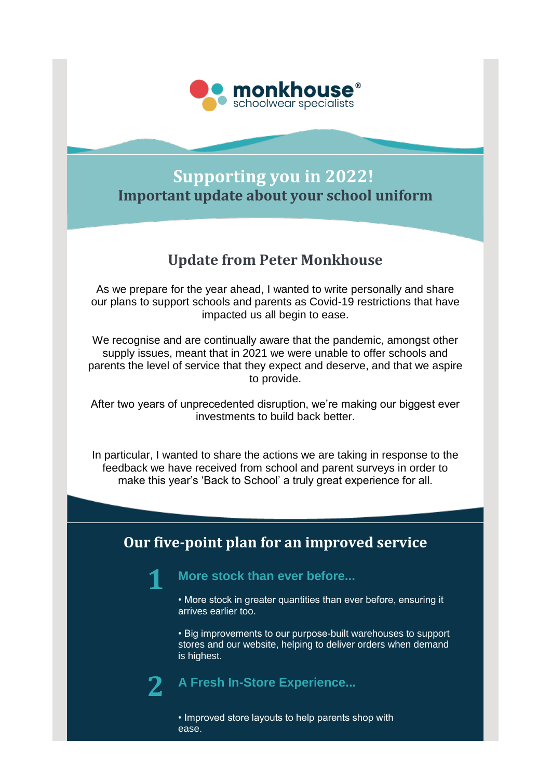

## **Supporting you in 2022! Important update about your school uniform**

## **Update from Peter Monkhouse**

As we prepare for the year ahead, I wanted to write personally and share our plans to support schools and parents as Covid-19 restrictions that have impacted us all begin to ease.

We recognise and are continually aware that the pandemic, amongst other supply issues, meant that in 2021 we were unable to offer schools and parents the level of service that they expect and deserve, and that we aspire to provide.

After two years of unprecedented disruption, we're making our biggest ever investments to build back better.

In particular, I wanted to share the actions we are taking in response to the feedback we have received from school and parent surveys in order to make this year's 'Back to School' a truly great experience for all.

## **Our five-point plan for an improved service**

**More stock than ever before...**

• More stock in greater quantities than ever before, ensuring it arrives earlier too.

• Big improvements to our purpose-built warehouses to support stores and our website, helping to deliver orders when demand is highest.

**2**

**1**

**A Fresh In-Store Experience...**

• Improved store layouts to help parents shop with ease.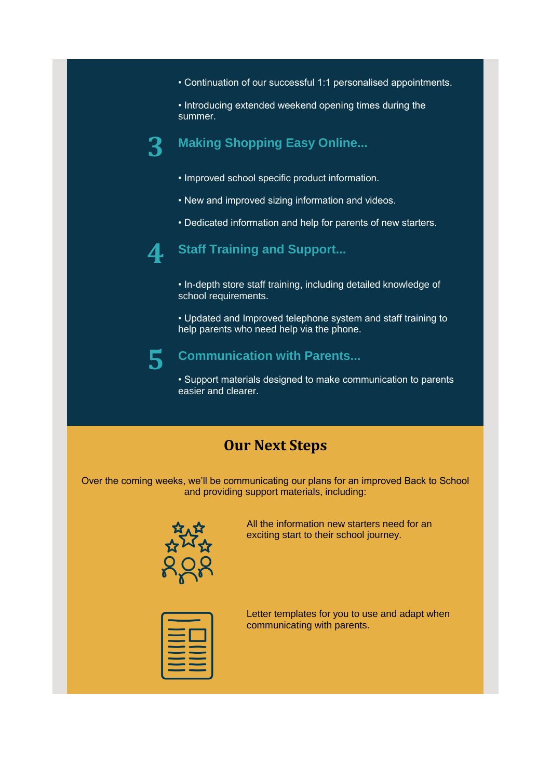• Continuation of our successful 1:1 personalised appointments.

• Introducing extended weekend opening times during the summer.

#### **3 Making Shopping Easy Online...**

- Improved school specific product information.
- New and improved sizing information and videos.
- Dedicated information and help for parents of new starters.



#### **Staff Training and Support...**

• In-depth store staff training, including detailed knowledge of school requirements.

• Updated and Improved telephone system and staff training to help parents who need help via the phone.

# **5**

#### **Communication with Parents...**

• Support materials designed to make communication to parents easier and clearer.

### **Our Next Steps**

Over the coming weeks, we'll be communicating our plans for an improved Back to School and providing support materials, including:



All the information new starters need for an exciting start to their school journey.



Letter templates for you to use and adapt when communicating with parents.